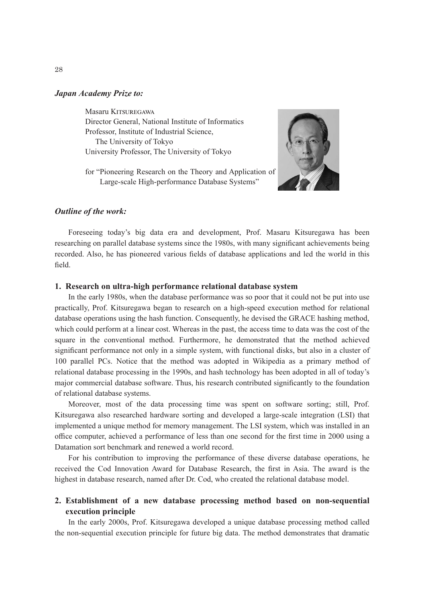#### *Japan Academy Prize to:*

Masaru KITSUREGAWA Director General, National Institute of Informatics Professor, Institute of Industrial Science, The University of Tokyo University Professor, The University of Tokyo

for "Pioneering Research on the Theory and Application of Large-scale High-performance Database Systems"



### *Outline of the work:*

Foreseeing today's big data era and development, Prof. Masaru Kitsuregawa has been researching on parallel database systems since the 1980s, with many significant achievements being recorded. Also, he has pioneered various fields of database applications and led the world in this field.

### **1. Research on ultra-high performance relational database system**

In the early 1980s, when the database performance was so poor that it could not be put into use practically, Prof. Kitsuregawa began to research on a high-speed execution method for relational database operations using the hash function. Consequently, he devised the GRACE hashing method, which could perform at a linear cost. Whereas in the past, the access time to data was the cost of the square in the conventional method. Furthermore, he demonstrated that the method achieved significant performance not only in a simple system, with functional disks, but also in a cluster of 100 parallel PCs. Notice that the method was adopted in Wikipedia as a primary method of relational database processing in the 1990s, and hash technology has been adopted in all of today's major commercial database software. Thus, his research contributed significantly to the foundation of relational database systems.

Moreover, most of the data processing time was spent on software sorting; still, Prof. Kitsuregawa also researched hardware sorting and developed a large-scale integration (LSI) that implemented a unique method for memory management. The LSI system, which was installed in an office computer, achieved a performance of less than one second for the first time in 2000 using a Datamation sort benchmark and renewed a world record.

For his contribution to improving the performance of these diverse database operations, he received the Cod Innovation Award for Database Research, the first in Asia. The award is the highest in database research, named after Dr. Cod, who created the relational database model.

# **2. Establishment of a new database processing method based on non-sequential execution principle**

In the early 2000s, Prof. Kitsuregawa developed a unique database processing method called the non-sequential execution principle for future big data. The method demonstrates that dramatic

28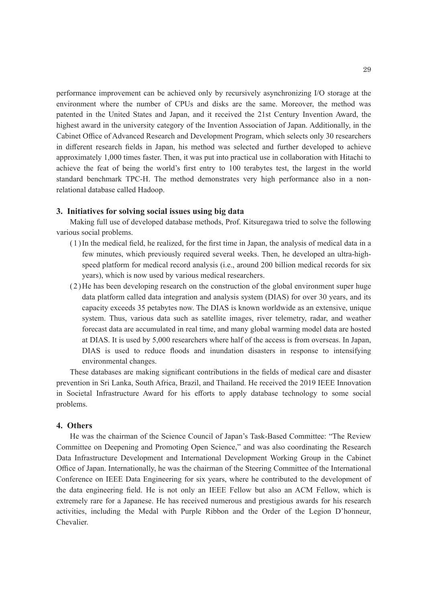performance improvement can be achieved only by recursively asynchronizing I/O storage at the environment where the number of CPUs and disks are the same. Moreover, the method was patented in the United States and Japan, and it received the 21st Century Invention Award, the highest award in the university category of the Invention Association of Japan. Additionally, in the Cabinet Office of Advanced Research and Development Program, which selects only 30 researchers in different research fields in Japan, his method was selected and further developed to achieve approximately 1,000 times faster. Then, it was put into practical use in collaboration with Hitachi to achieve the feat of being the world's first entry to 100 terabytes test, the largest in the world standard benchmark TPC-H. The method demonstrates very high performance also in a nonrelational database called Hadoop.

### **3. Initiatives for solving social issues using big data**

Making full use of developed database methods, Prof. Kitsuregawa tried to solve the following various social problems.

- (1)In the medical field, he realized, for the first time in Japan, the analysis of medical data in a few minutes, which previously required several weeks. Then, he developed an ultra-highspeed platform for medical record analysis (i.e., around 200 billion medical records for six years), which is now used by various medical researchers.
- (2)He has been developing research on the construction of the global environment super huge data platform called data integration and analysis system (DIAS) for over 30 years, and its capacity exceeds 35 petabytes now. The DIAS is known worldwide as an extensive, unique system. Thus, various data such as satellite images, river telemetry, radar, and weather forecast data are accumulated in real time, and many global warming model data are hosted at DIAS. It is used by 5,000 researchers where half of the access is from overseas. In Japan, DIAS is used to reduce floods and inundation disasters in response to intensifying environmental changes.

These databases are making significant contributions in the fields of medical care and disaster prevention in Sri Lanka, South Africa, Brazil, and Thailand. He received the 2019 IEEE Innovation in Societal Infrastructure Award for his efforts to apply database technology to some social problems.

## **4. Others**

He was the chairman of the Science Council of Japan's Task-Based Committee: "The Review Committee on Deepening and Promoting Open Science," and was also coordinating the Research Data Infrastructure Development and International Development Working Group in the Cabinet Office of Japan. Internationally, he was the chairman of the Steering Committee of the International Conference on IEEE Data Engineering for six years, where he contributed to the development of the data engineering field. He is not only an IEEE Fellow but also an ACM Fellow, which is extremely rare for a Japanese. He has received numerous and prestigious awards for his research activities, including the Medal with Purple Ribbon and the Order of the Legion D'honneur, Chevalier.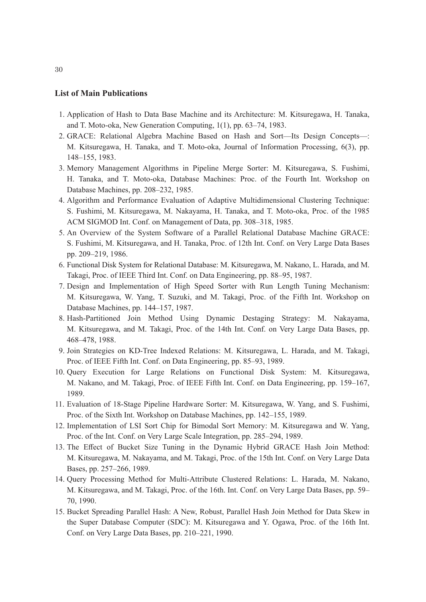### **List of Main Publications**

- 1. Application of Hash to Data Base Machine and its Architecture: M. Kitsuregawa, H. Tanaka, and T. Moto-oka, New Generation Computing, 1(1), pp. 63–74, 1983.
- 2. GRACE: Relational Algebra Machine Based on Hash and Sort—Its Design Concepts—: M. Kitsuregawa, H. Tanaka, and T. Moto-oka, Journal of Information Processing, 6(3), pp. 148–155, 1983.
- 3. Memory Management Algorithms in Pipeline Merge Sorter: M. Kitsuregawa, S. Fushimi, H. Tanaka, and T. Moto-oka, Database Machines: Proc. of the Fourth Int. Workshop on Database Machines, pp. 208–232, 1985.
- 4. Algorithm and Performance Evaluation of Adaptive Multidimensional Clustering Technique: S. Fushimi, M. Kitsuregawa, M. Nakayama, H. Tanaka, and T. Moto-oka, Proc. of the 1985 ACM SIGMOD Int. Conf. on Management of Data, pp. 308–318, 1985.
- 5. An Overview of the System Software of a Parallel Relational Database Machine GRACE: S. Fushimi, M. Kitsuregawa, and H. Tanaka, Proc. of 12th Int. Conf. on Very Large Data Bases pp. 209–219, 1986.
- 6. Functional Disk System for Relational Database: M. Kitsuregawa, M. Nakano, L. Harada, and M. Takagi, Proc. of IEEE Third Int. Conf. on Data Engineering, pp. 88–95, 1987.
- 7. Design and Implementation of High Speed Sorter with Run Length Tuning Mechanism: M. Kitsuregawa, W. Yang, T. Suzuki, and M. Takagi, Proc. of the Fifth Int. Workshop on Database Machines, pp. 144–157, 1987.
- 8. Hash-Partitioned Join Method Using Dynamic Destaging Strategy: M. Nakayama, M. Kitsuregawa, and M. Takagi, Proc. of the 14th Int. Conf. on Very Large Data Bases, pp. 468–478, 1988.
- 9. Join Strategies on KD-Tree Indexed Relations: M. Kitsuregawa, L. Harada, and M. Takagi, Proc. of IEEE Fifth Int. Conf. on Data Engineering, pp. 85–93, 1989.
- 10. Query Execution for Large Relations on Functional Disk System: M. Kitsuregawa, M. Nakano, and M. Takagi, Proc. of IEEE Fifth Int. Conf. on Data Engineering, pp. 159–167, 1989.
- 11. Evaluation of 18-Stage Pipeline Hardware Sorter: M. Kitsuregawa, W. Yang, and S. Fushimi, Proc. of the Sixth Int. Workshop on Database Machines, pp. 142–155, 1989.
- 12. Implementation of LSI Sort Chip for Bimodal Sort Memory: M. Kitsuregawa and W. Yang, Proc. of the Int. Conf. on Very Large Scale Integration, pp. 285–294, 1989.
- 13. The Effect of Bucket Size Tuning in the Dynamic Hybrid GRACE Hash Join Method: M. Kitsuregawa, M. Nakayama, and M. Takagi, Proc. of the 15th Int. Conf. on Very Large Data Bases, pp. 257–266, 1989.
- 14. Query Processing Method for Multi-Attribute Clustered Relations: L. Harada, M. Nakano, M. Kitsuregawa, and M. Takagi, Proc. of the 16th. Int. Conf. on Very Large Data Bases, pp. 59– 70, 1990.
- 15. Bucket Spreading Parallel Hash: A New, Robust, Parallel Hash Join Method for Data Skew in the Super Database Computer (SDC): M. Kitsuregawa and Y. Ogawa, Proc. of the 16th Int. Conf. on Very Large Data Bases, pp. 210–221, 1990.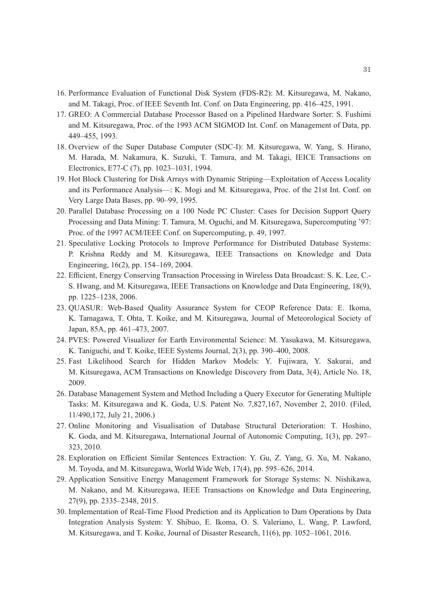- 16. Performance Evaluation of Functional Disk System (FDS-R2): M. Kitsuregawa, M. Nakano, and M. Takagi, Proc. of IEEE Seventh Int. Conf. on Data Engineering, pp. 416–425, 1991.
- 17. GREO: A Commercial Database Processor Based on a Pipelined Hardware Sorter: S. Fushimi and M. Kitsuregawa, Proc. of the 1993 ACM SIGMOD Int. Conf. on Management of Data, pp. 449–455, 1993.
- 18. Overview of the Super Database Computer (SDC-I): M. Kitsuregawa, W. Yang, S. Hirano, M. Harada, M. Nakamura, K. Suzuki, T. Tamura, and M. Takagi, IEICE Transactions on Electronics, E77-C (7), pp. 1023–1031, 1994.
- 19. Hot Block Clustering for Disk Arrays with Dynamic Striping—Exploitation of Access Locality and its Performance Analysis—: K. Mogi and M. Kitsuregawa, Proc. of the 21st Int. Conf. on Very Large Data Bases, pp. 90–99, 1995.
- 20. Parallel Database Processing on a 100 Node PC Cluster: Cases for Decision Support Query Processing and Data Mining: T. Tamura, M. Oguchi, and M. Kitsuregawa, Supercomputing '97: Proc. of the 1997 ACM/IEEE Conf. on Supercomputing, p. 49, 1997.
- 21. Speculative Locking Protocols to Improve Performance for Distributed Database Systems: P. Krishna Reddy and M. Kitsuregawa, IEEE Transactions on Knowledge and Data Engineering, 16(2), pp. 154–169, 2004.
- 22. Efficient, Energy Conserving Transaction Processing in Wireless Data Broadcast: S. K. Lee, C.- S. Hwang, and M. Kitsuregawa, IEEE Transactions on Knowledge and Data Engineering, 18(9), pp. 1225–1238, 2006.
- 23. QUASUR: Web-Based Quality Assurance System for CEOP Reference Data: E. Ikoma, K. Tamagawa, T. Ohta, T. Koike, and M. Kitsuregawa, Journal of Meteorological Society of Japan, 85A, pp. 461–473, 2007.
- 24. PVES: Powered Visualizer for Earth Environmental Science: M. Yasukawa, M. Kitsuregawa, K. Taniguchi, and T. Koike, IEEE Systems Journal, 2(3), pp. 390–400, 2008.
- 25. Fast Likelihood Search for Hidden Markov Models: Y. Fujiwara, Y. Sakurai, and M. Kitsuregawa, ACM Transactions on Knowledge Discovery from Data, 3(4), Article No. 18, 2009.
- 26. Database Management System and Method Including a Query Executor for Generating Multiple Tasks: M. Kitsuregawa and K. Goda, U.S. Patent No. 7,827,167, November 2, 2010. (Filed, 11/490,172, July 21, 2006.)
- 27. Online Monitoring and Visualisation of Database Structural Deterioration: T. Hoshino, K. Goda, and M. Kitsuregawa, International Journal of Autonomic Computing, 1(3), pp. 297– 323, 2010.
- 28. Exploration on Efficient Similar Sentences Extraction: Y. Gu, Z. Yang, G. Xu, M. Nakano, M. Toyoda, and M. Kitsuregawa, World Wide Web, 17(4), pp. 595–626, 2014.
- 29. Application Sensitive Energy Management Framework for Storage Systems: N. Nishikawa, M. Nakano, and M. Kitsuregawa, IEEE Transactions on Knowledge and Data Engineering, 27(9), pp. 2335–2348, 2015.
- 30. Implementation of Real-Time Flood Prediction and its Application to Dam Operations by Data Integration Analysis System: Y. Shibuo, E. Ikoma, O. S. Valeriano, L. Wang, P. Lawford, M. Kitsuregawa, and T. Koike, Journal of Disaster Research, 11(6), pp. 1052–1061, 2016.